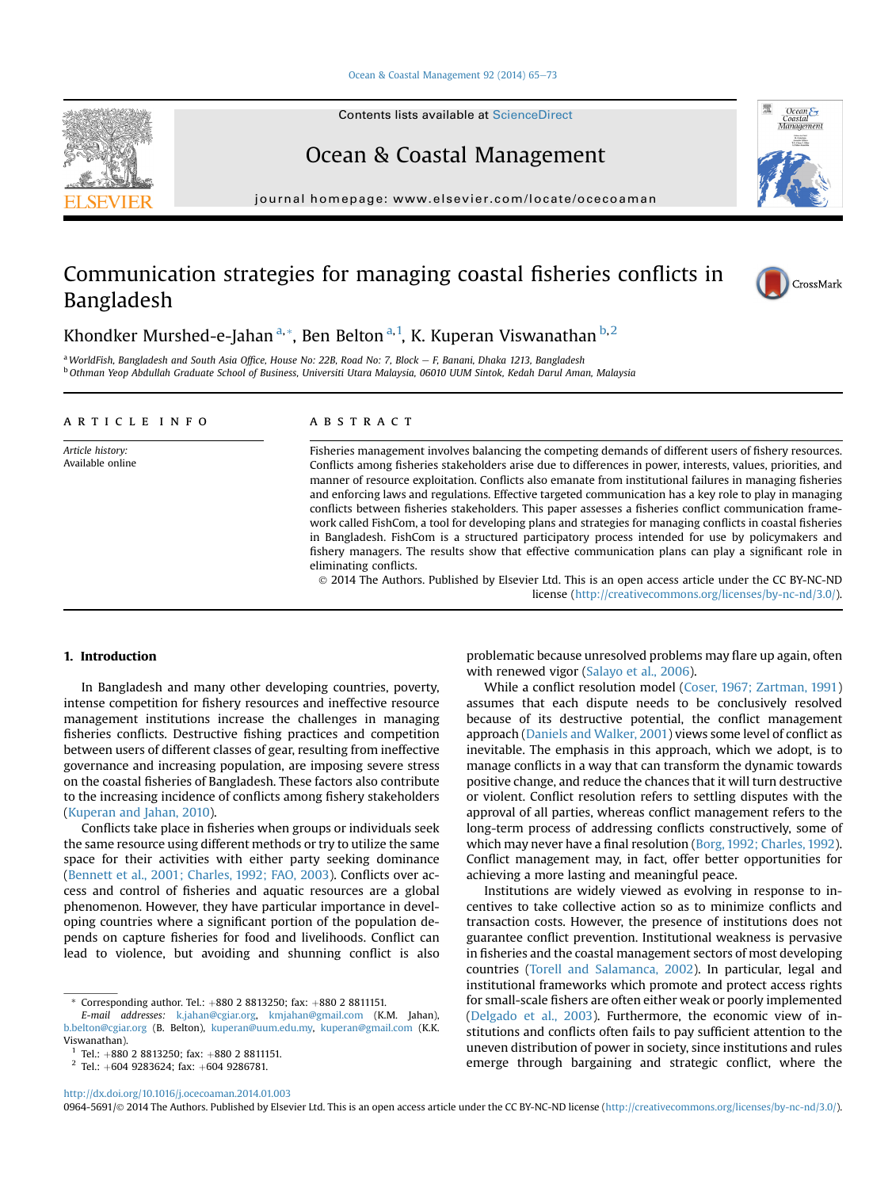#### [Ocean & Coastal Management 92 \(2014\) 65](http://dx.doi.org/10.1016/j.ocecoaman.2014.01.003)-[73](http://dx.doi.org/10.1016/j.ocecoaman.2014.01.003)

Contents lists available at ScienceDirect

# Ocean & Coastal Management

journal homepage: [www.elsevier.com/locate/ocecoaman](http://www.elsevier.com/locate/ocecoaman)

# Communication strategies for managing coastal fisheries conflicts in Bangladesh



<sup>a</sup> WorldFish, Bangladesh and South Asia Office, House No: 22B, Road No: 7, Block - F, Banani, Dhaka 1213, Bangladesh <sup>b</sup> Othman Yeop Abdullah Graduate School of Business, Universiti Utara Malaysia, 06010 UUM Sintok, Kedah Darul Aman, Malaysia

#### article info

Article history: Available online

# ABSTRACT

Fisheries management involves balancing the competing demands of different users of fishery resources. Conflicts among fisheries stakeholders arise due to differences in power, interests, values, priorities, and manner of resource exploitation. Conflicts also emanate from institutional failures in managing fisheries and enforcing laws and regulations. Effective targeted communication has a key role to play in managing conflicts between fisheries stakeholders. This paper assesses a fisheries conflict communication framework called FishCom, a tool for developing plans and strategies for managing conflicts in coastal fisheries in Bangladesh. FishCom is a structured participatory process intended for use by policymakers and fishery managers. The results show that effective communication plans can play a significant role in eliminating conflicts.

 2014 The Authors. Published by Elsevier Ltd. This is an open access article under the CC BY-NC-ND license [\(http://creativecommons.org/licenses/by-nc-nd/3.0/](http://creativecommons.org/licenses/by-nc-nd/3.0/)).

#### 1. Introduction

In Bangladesh and many other developing countries, poverty, intense competition for fishery resources and ineffective resource management institutions increase the challenges in managing fisheries conflicts. Destructive fishing practices and competition between users of different classes of gear, resulting from ineffective governance and increasing population, are imposing severe stress on the coastal fisheries of Bangladesh. These factors also contribute to the increasing incidence of conflicts among fishery stakeholders ([Kuperan and Jahan, 2010\)](#page-8-0).

Conflicts take place in fisheries when groups or individuals seek the same resource using different methods or try to utilize the same space for their activities with either party seeking dominance ([Bennett et al., 2001; Charles, 1992; FAO, 2003\)](#page-7-0). Conflicts over access and control of fisheries and aquatic resources are a global phenomenon. However, they have particular importance in developing countries where a significant portion of the population depends on capture fisheries for food and livelihoods. Conflict can lead to violence, but avoiding and shunning conflict is also problematic because unresolved problems may flare up again, often with renewed vigor ([Salayo et al., 2006\)](#page-8-0).

While a conflict resolution model [\(Coser, 1967; Zartman, 1991\)](#page-7-0) assumes that each dispute needs to be conclusively resolved because of its destructive potential, the conflict management approach [\(Daniels and Walker, 2001](#page-7-0)) views some level of conflict as inevitable. The emphasis in this approach, which we adopt, is to manage conflicts in a way that can transform the dynamic towards positive change, and reduce the chances that it will turn destructive or violent. Conflict resolution refers to settling disputes with the approval of all parties, whereas conflict management refers to the long-term process of addressing conflicts constructively, some of which may never have a final resolution ([Borg, 1992; Charles, 1992\)](#page-7-0). Conflict management may, in fact, offer better opportunities for achieving a more lasting and meaningful peace.

Institutions are widely viewed as evolving in response to incentives to take collective action so as to minimize conflicts and transaction costs. However, the presence of institutions does not guarantee conflict prevention. Institutional weakness is pervasive in fisheries and the coastal management sectors of most developing countries ([Torell and Salamanca, 2002](#page-8-0)). In particular, legal and institutional frameworks which promote and protect access rights for small-scale fishers are often either weak or poorly implemented ([Delgado et al., 2003\)](#page-7-0). Furthermore, the economic view of institutions and conflicts often fails to pay sufficient attention to the uneven distribution of power in society, since institutions and rules emerge through bargaining and strategic conflict, where the

0964-5691/© 2014 The Authors. Published by Elsevier Ltd. This is an open access article under the CC BY-NC-ND license ([http://creativecommons.org/licenses/by-nc-nd/3.0/\)](http://creativecommons.org/licenses/by-nc-nd/3.0/).





CrossMark

Corresponding author. Tel.:  $+880$  2 8813250; fax:  $+880$  2 8811151.

E-mail addresses: [k.jahan@cgiar.org,](mailto:k.jahan@cgiar.org) [kmjahan@gmail.com](mailto:kmjahan@gmail.com) (K.M. Jahan), [b.belton@cgiar.org](mailto:b.belton@cgiar.org) (B. Belton), [kuperan@uum.edu.my,](mailto:kuperan@uum.edu.my) [kuperan@gmail.com](mailto:kuperan@gmail.com) (K.K. Viswanathan).<br><sup>1</sup> Tel.: +880 2 8813250; fax: +880 2 8811151.

 $2$  Tel.: +604 9283624; fax: +604 9286781.

<http://dx.doi.org/10.1016/j.ocecoaman.2014.01.003>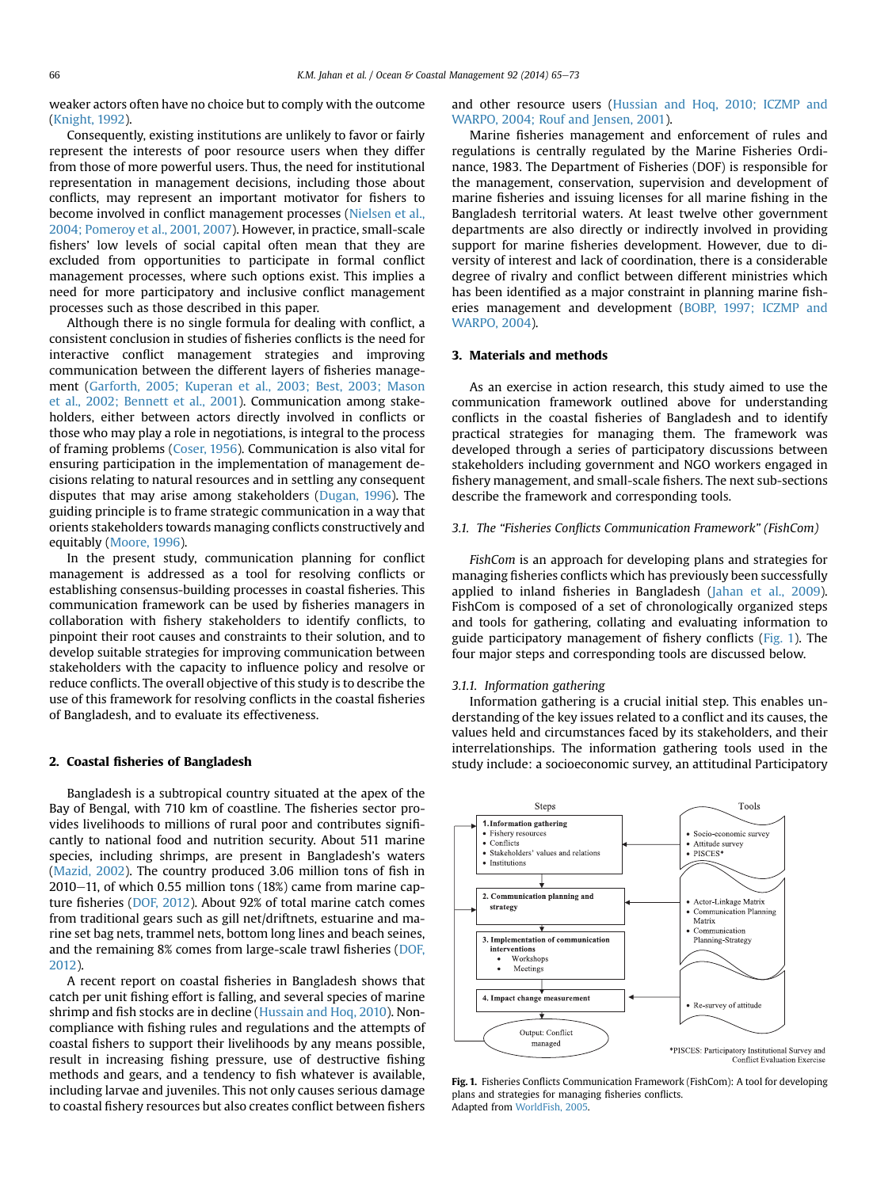weaker actors often have no choice but to comply with the outcome ([Knight, 1992](#page-8-0)).

Consequently, existing institutions are unlikely to favor or fairly represent the interests of poor resource users when they differ from those of more powerful users. Thus, the need for institutional representation in management decisions, including those about conflicts, may represent an important motivator for fishers to become involved in conflict management processes [\(Nielsen et al.,](#page-8-0) [2004; Pomeroy et al., 2001, 2007\)](#page-8-0). However, in practice, small-scale fishers' low levels of social capital often mean that they are excluded from opportunities to participate in formal conflict management processes, where such options exist. This implies a need for more participatory and inclusive conflict management processes such as those described in this paper.

Although there is no single formula for dealing with conflict, a consistent conclusion in studies of fisheries conflicts is the need for interactive conflict management strategies and improving communication between the different layers of fisheries management ([Garforth, 2005; Kuperan et al., 2003; Best, 2003; Mason](#page-7-0) [et al., 2002; Bennett et al., 2001](#page-7-0)). Communication among stakeholders, either between actors directly involved in conflicts or those who may play a role in negotiations, is integral to the process of framing problems ([Coser, 1956](#page-7-0)). Communication is also vital for ensuring participation in the implementation of management decisions relating to natural resources and in settling any consequent disputes that may arise among stakeholders [\(Dugan, 1996](#page-7-0)). The guiding principle is to frame strategic communication in a way that orients stakeholders towards managing conflicts constructively and equitably [\(Moore, 1996](#page-8-0)).

In the present study, communication planning for conflict management is addressed as a tool for resolving conflicts or establishing consensus-building processes in coastal fisheries. This communication framework can be used by fisheries managers in collaboration with fishery stakeholders to identify conflicts, to pinpoint their root causes and constraints to their solution, and to develop suitable strategies for improving communication between stakeholders with the capacity to influence policy and resolve or reduce conflicts. The overall objective of this study is to describe the use of this framework for resolving conflicts in the coastal fisheries of Bangladesh, and to evaluate its effectiveness.

#### 2. Coastal fisheries of Bangladesh

Bangladesh is a subtropical country situated at the apex of the Bay of Bengal, with 710 km of coastline. The fisheries sector provides livelihoods to millions of rural poor and contributes significantly to national food and nutrition security. About 511 marine species, including shrimps, are present in Bangladesh's waters ([Mazid, 2002](#page-8-0)). The country produced 3.06 million tons of fish in  $2010-11$ , of which 0.55 million tons (18%) came from marine capture fisheries ([DOF, 2012\)](#page-7-0). About 92% of total marine catch comes from traditional gears such as gill net/driftnets, estuarine and marine set bag nets, trammel nets, bottom long lines and beach seines, and the remaining 8% comes from large-scale trawl fisheries ([DOF,](#page-7-0) [2012](#page-7-0)).

A recent report on coastal fisheries in Bangladesh shows that catch per unit fishing effort is falling, and several species of marine shrimp and fish stocks are in decline ([Hussain and Hoq, 2010](#page-7-0)). Noncompliance with fishing rules and regulations and the attempts of coastal fishers to support their livelihoods by any means possible, result in increasing fishing pressure, use of destructive fishing methods and gears, and a tendency to fish whatever is available, including larvae and juveniles. This not only causes serious damage to coastal fishery resources but also creates conflict between fishers

# and other resource users [\(Hussian and Hoq, 2010; ICZMP and](#page-7-0) [WARPO, 2004; Rouf and Jensen, 2001](#page-7-0)).

Marine fisheries management and enforcement of rules and regulations is centrally regulated by the Marine Fisheries Ordinance, 1983. The Department of Fisheries (DOF) is responsible for the management, conservation, supervision and development of marine fisheries and issuing licenses for all marine fishing in the Bangladesh territorial waters. At least twelve other government departments are also directly or indirectly involved in providing support for marine fisheries development. However, due to diversity of interest and lack of coordination, there is a considerable degree of rivalry and conflict between different ministries which has been identified as a major constraint in planning marine fisheries management and development ([BOBP, 1997; ICZMP and](#page-8-0) [WARPO, 2004\)](#page-8-0).

## 3. Materials and methods

As an exercise in action research, this study aimed to use the communication framework outlined above for understanding conflicts in the coastal fisheries of Bangladesh and to identify practical strategies for managing them. The framework was developed through a series of participatory discussions between stakeholders including government and NGO workers engaged in fishery management, and small-scale fishers. The next sub-sections describe the framework and corresponding tools.

## 3.1. The "Fisheries Conflicts Communication Framework" (FishCom)

FishCom is an approach for developing plans and strategies for managing fisheries conflicts which has previously been successfully applied to inland fisheries in Bangladesh ([Jahan et al., 2009\)](#page-8-0). FishCom is composed of a set of chronologically organized steps and tools for gathering, collating and evaluating information to guide participatory management of fishery conflicts (Fig. 1). The four major steps and corresponding tools are discussed below.

#### 3.1.1. Information gathering

Information gathering is a crucial initial step. This enables understanding of the key issues related to a conflict and its causes, the values held and circumstances faced by its stakeholders, and their interrelationships. The information gathering tools used in the study include: a socioeconomic survey, an attitudinal Participatory



Fig. 1. Fisheries Conflicts Communication Framework (FishCom): A tool for developing plans and strategies for managing fisheries conflicts. Adapted from [WorldFish, 2005.](#page-8-0)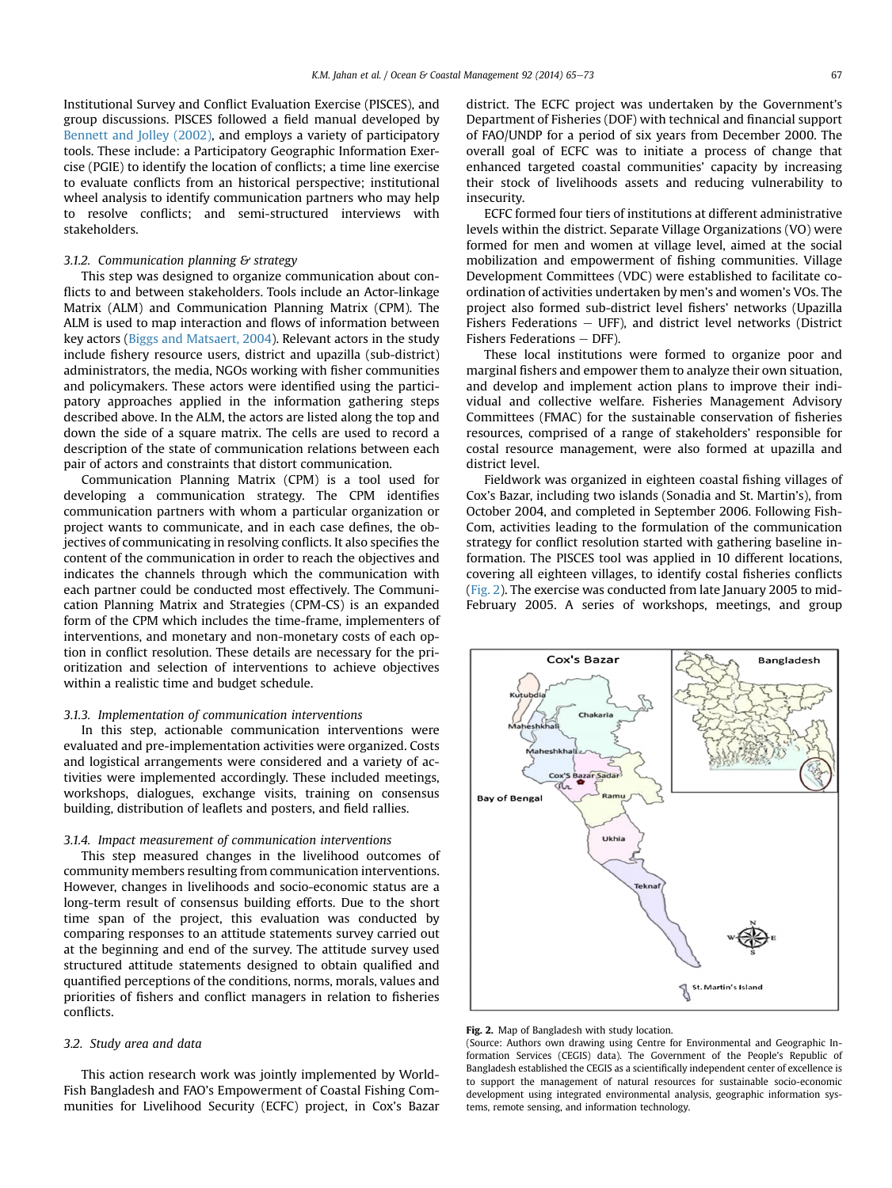Institutional Survey and Conflict Evaluation Exercise (PISCES), and group discussions. PISCES followed a field manual developed by [Bennett and Jolley \(2002\)](#page-7-0), and employs a variety of participatory tools. These include: a Participatory Geographic Information Exercise (PGIE) to identify the location of conflicts; a time line exercise to evaluate conflicts from an historical perspective; institutional wheel analysis to identify communication partners who may help to resolve conflicts; and semi-structured interviews with stakeholders.

## 3.1.2. Communication planning  $\mathcal G$  strategy

This step was designed to organize communication about conflicts to and between stakeholders. Tools include an Actor-linkage Matrix (ALM) and Communication Planning Matrix (CPM). The ALM is used to map interaction and flows of information between key actors ([Biggs and Matsaert, 2004](#page-7-0)). Relevant actors in the study include fishery resource users, district and upazilla (sub-district) administrators, the media, NGOs working with fisher communities and policymakers. These actors were identified using the participatory approaches applied in the information gathering steps described above. In the ALM, the actors are listed along the top and down the side of a square matrix. The cells are used to record a description of the state of communication relations between each pair of actors and constraints that distort communication.

Communication Planning Matrix (CPM) is a tool used for developing a communication strategy. The CPM identifies communication partners with whom a particular organization or project wants to communicate, and in each case defines, the objectives of communicating in resolving conflicts. It also specifies the content of the communication in order to reach the objectives and indicates the channels through which the communication with each partner could be conducted most effectively. The Communication Planning Matrix and Strategies (CPM-CS) is an expanded form of the CPM which includes the time-frame, implementers of interventions, and monetary and non-monetary costs of each option in conflict resolution. These details are necessary for the prioritization and selection of interventions to achieve objectives within a realistic time and budget schedule.

## 3.1.3. Implementation of communication interventions

In this step, actionable communication interventions were evaluated and pre-implementation activities were organized. Costs and logistical arrangements were considered and a variety of activities were implemented accordingly. These included meetings, workshops, dialogues, exchange visits, training on consensus building, distribution of leaflets and posters, and field rallies.

#### 3.1.4. Impact measurement of communication interventions

This step measured changes in the livelihood outcomes of community members resulting from communication interventions. However, changes in livelihoods and socio-economic status are a long-term result of consensus building efforts. Due to the short time span of the project, this evaluation was conducted by comparing responses to an attitude statements survey carried out at the beginning and end of the survey. The attitude survey used structured attitude statements designed to obtain qualified and quantified perceptions of the conditions, norms, morals, values and priorities of fishers and conflict managers in relation to fisheries conflicts.

### 3.2. Study area and data

This action research work was jointly implemented by World-Fish Bangladesh and FAO's Empowerment of Coastal Fishing Communities for Livelihood Security (ECFC) project, in Cox's Bazar district. The ECFC project was undertaken by the Government's Department of Fisheries (DOF) with technical and financial support of FAO/UNDP for a period of six years from December 2000. The overall goal of ECFC was to initiate a process of change that enhanced targeted coastal communities' capacity by increasing their stock of livelihoods assets and reducing vulnerability to insecurity.

ECFC formed four tiers of institutions at different administrative levels within the district. Separate Village Organizations (VO) were formed for men and women at village level, aimed at the social mobilization and empowerment of fishing communities. Village Development Committees (VDC) were established to facilitate coordination of activities undertaken by men's and women's VOs. The project also formed sub-district level fishers' networks (Upazilla Fishers Federations  $-$  UFF), and district level networks (District Fishers Federations  $-$  DFF).

These local institutions were formed to organize poor and marginal fishers and empower them to analyze their own situation, and develop and implement action plans to improve their individual and collective welfare. Fisheries Management Advisory Committees (FMAC) for the sustainable conservation of fisheries resources, comprised of a range of stakeholders' responsible for costal resource management, were also formed at upazilla and district level.

Fieldwork was organized in eighteen coastal fishing villages of Cox's Bazar, including two islands (Sonadia and St. Martin's), from October 2004, and completed in September 2006. Following Fish-Com, activities leading to the formulation of the communication strategy for conflict resolution started with gathering baseline information. The PISCES tool was applied in 10 different locations, covering all eighteen villages, to identify costal fisheries conflicts (Fig. 2). The exercise was conducted from late January 2005 to mid-February 2005. A series of workshops, meetings, and group



Fig. 2. Map of Bangladesh with study location.

(Source: Authors own drawing using Centre for Environmental and Geographic Information Services (CEGIS) data). The Government of the People's Republic of Bangladesh established the CEGIS as a scientifically independent center of excellence is to support the management of natural resources for sustainable socio-economic development using integrated environmental analysis, geographic information systems, remote sensing, and information technology.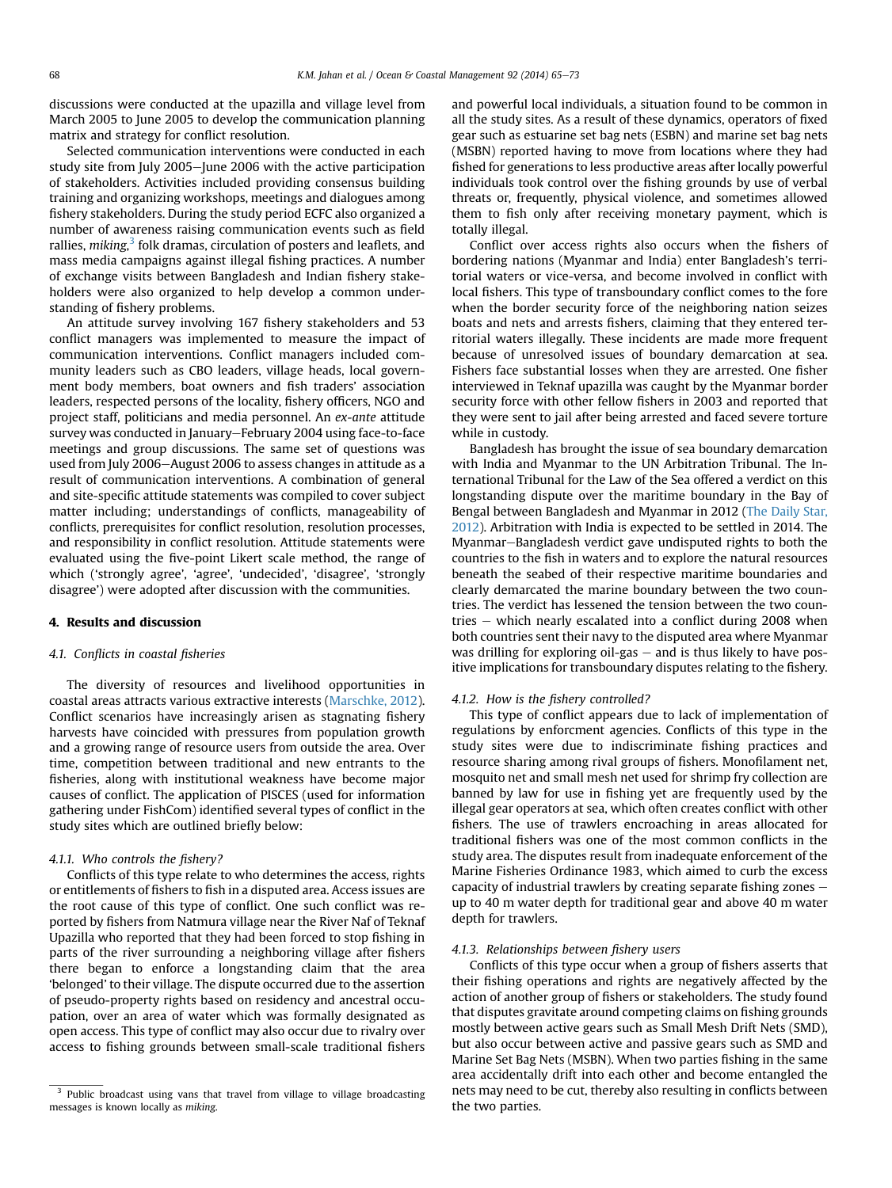discussions were conducted at the upazilla and village level from March 2005 to June 2005 to develop the communication planning matrix and strategy for conflict resolution.

Selected communication interventions were conducted in each study site from July 2005-June 2006 with the active participation of stakeholders. Activities included providing consensus building training and organizing workshops, meetings and dialogues among fishery stakeholders. During the study period ECFC also organized a number of awareness raising communication events such as field rallies, *miking*,<sup>3</sup> folk dramas, circulation of posters and leaflets, and mass media campaigns against illegal fishing practices. A number of exchange visits between Bangladesh and Indian fishery stakeholders were also organized to help develop a common understanding of fishery problems.

An attitude survey involving 167 fishery stakeholders and 53 conflict managers was implemented to measure the impact of communication interventions. Conflict managers included community leaders such as CBO leaders, village heads, local government body members, boat owners and fish traders' association leaders, respected persons of the locality, fishery officers, NGO and project staff, politicians and media personnel. An ex-ante attitude survey was conducted in January–February 2004 using face-to-face meetings and group discussions. The same set of questions was used from July 2006-August 2006 to assess changes in attitude as a result of communication interventions. A combination of general and site-specific attitude statements was compiled to cover subject matter including; understandings of conflicts, manageability of conflicts, prerequisites for conflict resolution, resolution processes, and responsibility in conflict resolution. Attitude statements were evaluated using the five-point Likert scale method, the range of which ('strongly agree', 'agree', 'undecided', 'disagree', 'strongly disagree') were adopted after discussion with the communities.

# 4. Results and discussion

#### 4.1. Conflicts in coastal fisheries

The diversity of resources and livelihood opportunities in coastal areas attracts various extractive interests ([Marschke, 2012\)](#page-8-0). Conflict scenarios have increasingly arisen as stagnating fishery harvests have coincided with pressures from population growth and a growing range of resource users from outside the area. Over time, competition between traditional and new entrants to the fisheries, along with institutional weakness have become major causes of conflict. The application of PISCES (used for information gathering under FishCom) identified several types of conflict in the study sites which are outlined briefly below:

## 4.1.1. Who controls the fishery?

Conflicts of this type relate to who determines the access, rights or entitlements of fishers to fish in a disputed area. Access issues are the root cause of this type of conflict. One such conflict was reported by fishers from Natmura village near the River Naf of Teknaf Upazilla who reported that they had been forced to stop fishing in parts of the river surrounding a neighboring village after fishers there began to enforce a longstanding claim that the area 'belonged' to their village. The dispute occurred due to the assertion of pseudo-property rights based on residency and ancestral occupation, over an area of water which was formally designated as open access. This type of conflict may also occur due to rivalry over access to fishing grounds between small-scale traditional fishers and powerful local individuals, a situation found to be common in all the study sites. As a result of these dynamics, operators of fixed gear such as estuarine set bag nets (ESBN) and marine set bag nets (MSBN) reported having to move from locations where they had fished for generations to less productive areas after locally powerful individuals took control over the fishing grounds by use of verbal threats or, frequently, physical violence, and sometimes allowed them to fish only after receiving monetary payment, which is totally illegal.

Conflict over access rights also occurs when the fishers of bordering nations (Myanmar and India) enter Bangladesh's territorial waters or vice-versa, and become involved in conflict with local fishers. This type of transboundary conflict comes to the fore when the border security force of the neighboring nation seizes boats and nets and arrests fishers, claiming that they entered territorial waters illegally. These incidents are made more frequent because of unresolved issues of boundary demarcation at sea. Fishers face substantial losses when they are arrested. One fisher interviewed in Teknaf upazilla was caught by the Myanmar border security force with other fellow fishers in 2003 and reported that they were sent to jail after being arrested and faced severe torture while in custody.

Bangladesh has brought the issue of sea boundary demarcation with India and Myanmar to the UN Arbitration Tribunal. The International Tribunal for the Law of the Sea offered a verdict on this longstanding dispute over the maritime boundary in the Bay of Bengal between Bangladesh and Myanmar in 2012 ([The Daily Star,](#page-8-0) [2012](#page-8-0)). Arbitration with India is expected to be settled in 2014. The Myanmar-Bangladesh verdict gave undisputed rights to both the countries to the fish in waters and to explore the natural resources beneath the seabed of their respective maritime boundaries and clearly demarcated the marine boundary between the two countries. The verdict has lessened the tension between the two countries  $-$  which nearly escalated into a conflict during 2008 when both countries sent their navy to the disputed area where Myanmar was drilling for exploring oil-gas  $-$  and is thus likely to have positive implications for transboundary disputes relating to the fishery.

## 4.1.2. How is the fishery controlled?

This type of conflict appears due to lack of implementation of regulations by enforcment agencies. Conflicts of this type in the study sites were due to indiscriminate fishing practices and resource sharing among rival groups of fishers. Monofilament net, mosquito net and small mesh net used for shrimp fry collection are banned by law for use in fishing yet are frequently used by the illegal gear operators at sea, which often creates conflict with other fishers. The use of trawlers encroaching in areas allocated for traditional fishers was one of the most common conflicts in the study area. The disputes result from inadequate enforcement of the Marine Fisheries Ordinance 1983, which aimed to curb the excess capacity of industrial trawlers by creating separate fishing zones  $$ up to 40 m water depth for traditional gear and above 40 m water depth for trawlers.

# 4.1.3. Relationships between fishery users

Conflicts of this type occur when a group of fishers asserts that their fishing operations and rights are negatively affected by the action of another group of fishers or stakeholders. The study found that disputes gravitate around competing claims on fishing grounds mostly between active gears such as Small Mesh Drift Nets (SMD), but also occur between active and passive gears such as SMD and Marine Set Bag Nets (MSBN). When two parties fishing in the same area accidentally drift into each other and become entangled the nets may need to be cut, thereby also resulting in conflicts between the two parties.

<sup>&</sup>lt;sup>3</sup> Public broadcast using vans that travel from village to village broadcasting messages is known locally as miking.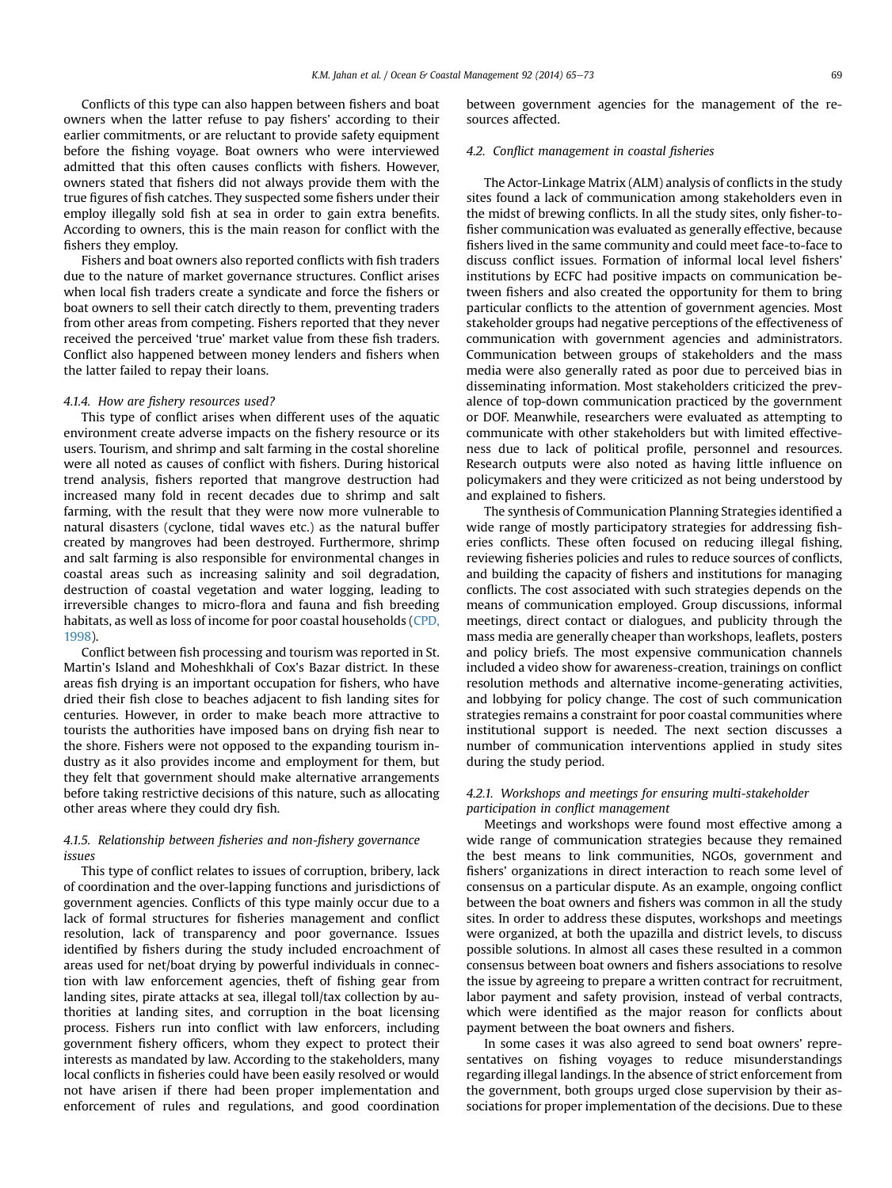Conflicts of this type can also happen between fishers and boat owners when the latter refuse to pay fishers' according to their earlier commitments, or are reluctant to provide safety equipment before the fishing voyage. Boat owners who were interviewed admitted that this often causes conflicts with fishers. However, owners stated that fishers did not always provide them with the true figures of fish catches. They suspected some fishers under their employ illegally sold fish at sea in order to gain extra benefits. According to owners, this is the main reason for conflict with the fishers they employ.

Fishers and boat owners also reported conflicts with fish traders due to the nature of market governance structures. Conflict arises when local fish traders create a syndicate and force the fishers or boat owners to sell their catch directly to them, preventing traders from other areas from competing. Fishers reported that they never received the perceived 'true' market value from these fish traders. Conflict also happened between money lenders and fishers when the latter failed to repay their loans.

### 4.1.4. How are fishery resources used?

This type of conflict arises when different uses of the aquatic environment create adverse impacts on the fishery resource or its users. Tourism, and shrimp and salt farming in the costal shoreline were all noted as causes of conflict with fishers. During historical trend analysis, fishers reported that mangrove destruction had increased many fold in recent decades due to shrimp and salt farming, with the result that they were now more vulnerable to natural disasters (cyclone, tidal waves etc.) as the natural buffer created by mangroves had been destroyed. Furthermore, shrimp and salt farming is also responsible for environmental changes in coastal areas such as increasing salinity and soil degradation, destruction of coastal vegetation and water logging, leading to irreversible changes to micro-flora and fauna and fish breeding habitats, as well as loss of income for poor coastal households [\(CPD,](#page-7-0) [1998\)](#page-7-0).

Conflict between fish processing and tourism was reported in St. Martin's Island and Moheshkhali of Cox's Bazar district. In these areas fish drying is an important occupation for fishers, who have dried their fish close to beaches adjacent to fish landing sites for centuries. However, in order to make beach more attractive to tourists the authorities have imposed bans on drying fish near to the shore. Fishers were not opposed to the expanding tourism industry as it also provides income and employment for them, but they felt that government should make alternative arrangements before taking restrictive decisions of this nature, such as allocating other areas where they could dry fish.

# 4.1.5. Relationship between fisheries and non-fishery governance issues

This type of conflict relates to issues of corruption, bribery, lack of coordination and the over-lapping functions and jurisdictions of government agencies. Conflicts of this type mainly occur due to a lack of formal structures for fisheries management and conflict resolution, lack of transparency and poor governance. Issues identified by fishers during the study included encroachment of areas used for net/boat drying by powerful individuals in connection with law enforcement agencies, theft of fishing gear from landing sites, pirate attacks at sea, illegal toll/tax collection by authorities at landing sites, and corruption in the boat licensing process. Fishers run into conflict with law enforcers, including government fishery officers, whom they expect to protect their interests as mandated by law. According to the stakeholders, many local conflicts in fisheries could have been easily resolved or would not have arisen if there had been proper implementation and enforcement of rules and regulations, and good coordination

between government agencies for the management of the resources affected.

# 4.2. Conflict management in coastal fisheries

The Actor-Linkage Matrix (ALM) analysis of conflicts in the study sites found a lack of communication among stakeholders even in the midst of brewing conflicts. In all the study sites, only fisher-tofisher communication was evaluated as generally effective, because fishers lived in the same community and could meet face-to-face to discuss conflict issues. Formation of informal local level fishers' institutions by ECFC had positive impacts on communication between fishers and also created the opportunity for them to bring particular conflicts to the attention of government agencies. Most stakeholder groups had negative perceptions of the effectiveness of communication with government agencies and administrators. Communication between groups of stakeholders and the mass media were also generally rated as poor due to perceived bias in disseminating information. Most stakeholders criticized the prevalence of top-down communication practiced by the government or DOF. Meanwhile, researchers were evaluated as attempting to communicate with other stakeholders but with limited effectiveness due to lack of political profile, personnel and resources. Research outputs were also noted as having little influence on policymakers and they were criticized as not being understood by and explained to fishers.

The synthesis of Communication Planning Strategies identified a wide range of mostly participatory strategies for addressing fisheries conflicts. These often focused on reducing illegal fishing, reviewing fisheries policies and rules to reduce sources of conflicts, and building the capacity of fishers and institutions for managing conflicts. The cost associated with such strategies depends on the means of communication employed. Group discussions, informal meetings, direct contact or dialogues, and publicity through the mass media are generally cheaper than workshops, leaflets, posters and policy briefs. The most expensive communication channels included a video show for awareness-creation, trainings on conflict resolution methods and alternative income-generating activities, and lobbying for policy change. The cost of such communication strategies remains a constraint for poor coastal communities where institutional support is needed. The next section discusses a number of communication interventions applied in study sites during the study period.

## 4.2.1. Workshops and meetings for ensuring multi-stakeholder participation in conflict management

Meetings and workshops were found most effective among a wide range of communication strategies because they remained the best means to link communities, NGOs, government and fishers' organizations in direct interaction to reach some level of consensus on a particular dispute. As an example, ongoing conflict between the boat owners and fishers was common in all the study sites. In order to address these disputes, workshops and meetings were organized, at both the upazilla and district levels, to discuss possible solutions. In almost all cases these resulted in a common consensus between boat owners and fishers associations to resolve the issue by agreeing to prepare a written contract for recruitment, labor payment and safety provision, instead of verbal contracts, which were identified as the major reason for conflicts about payment between the boat owners and fishers.

In some cases it was also agreed to send boat owners' representatives on fishing voyages to reduce misunderstandings regarding illegal landings. In the absence of strict enforcement from the government, both groups urged close supervision by their associations for proper implementation of the decisions. Due to these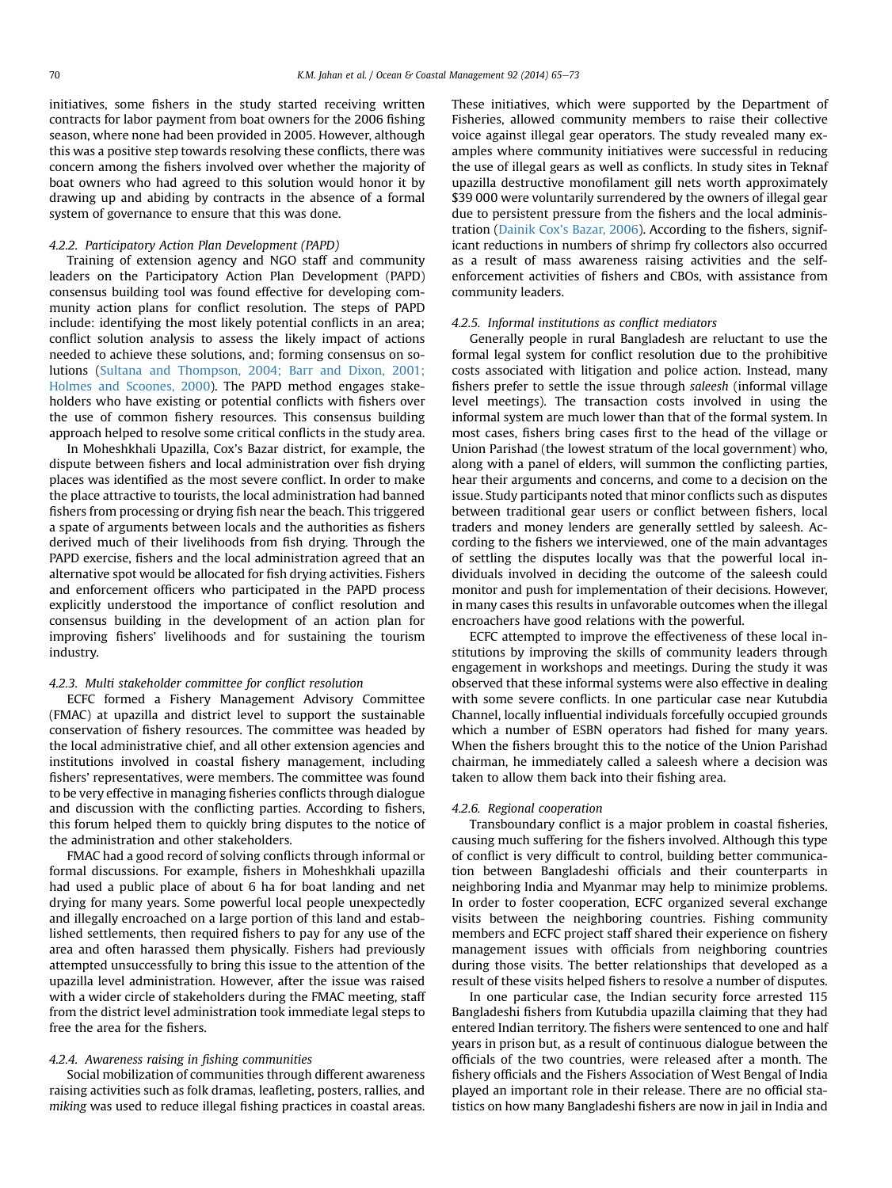initiatives, some fishers in the study started receiving written contracts for labor payment from boat owners for the 2006 fishing season, where none had been provided in 2005. However, although this was a positive step towards resolving these conflicts, there was concern among the fishers involved over whether the majority of boat owners who had agreed to this solution would honor it by drawing up and abiding by contracts in the absence of a formal system of governance to ensure that this was done.

## 4.2.2. Participatory Action Plan Development (PAPD)

Training of extension agency and NGO staff and community leaders on the Participatory Action Plan Development (PAPD) consensus building tool was found effective for developing community action plans for conflict resolution. The steps of PAPD include: identifying the most likely potential conflicts in an area; conflict solution analysis to assess the likely impact of actions needed to achieve these solutions, and; forming consensus on solutions ([Sultana and Thompson, 2004; Barr and Dixon, 2001;](#page-8-0) [Holmes and Scoones, 2000](#page-8-0)). The PAPD method engages stakeholders who have existing or potential conflicts with fishers over the use of common fishery resources. This consensus building approach helped to resolve some critical conflicts in the study area.

In Moheshkhali Upazilla, Cox's Bazar district, for example, the dispute between fishers and local administration over fish drying places was identified as the most severe conflict. In order to make the place attractive to tourists, the local administration had banned fishers from processing or drying fish near the beach. This triggered a spate of arguments between locals and the authorities as fishers derived much of their livelihoods from fish drying. Through the PAPD exercise, fishers and the local administration agreed that an alternative spot would be allocated for fish drying activities. Fishers and enforcement officers who participated in the PAPD process explicitly understood the importance of conflict resolution and consensus building in the development of an action plan for improving fishers' livelihoods and for sustaining the tourism industry.

### 4.2.3. Multi stakeholder committee for conflict resolution

ECFC formed a Fishery Management Advisory Committee (FMAC) at upazilla and district level to support the sustainable conservation of fishery resources. The committee was headed by the local administrative chief, and all other extension agencies and institutions involved in coastal fishery management, including fishers' representatives, were members. The committee was found to be very effective in managing fisheries conflicts through dialogue and discussion with the conflicting parties. According to fishers, this forum helped them to quickly bring disputes to the notice of the administration and other stakeholders.

FMAC had a good record of solving conflicts through informal or formal discussions. For example, fishers in Moheshkhali upazilla had used a public place of about 6 ha for boat landing and net drying for many years. Some powerful local people unexpectedly and illegally encroached on a large portion of this land and established settlements, then required fishers to pay for any use of the area and often harassed them physically. Fishers had previously attempted unsuccessfully to bring this issue to the attention of the upazilla level administration. However, after the issue was raised with a wider circle of stakeholders during the FMAC meeting, staff from the district level administration took immediate legal steps to free the area for the fishers.

### 4.2.4. Awareness raising in fishing communities

Social mobilization of communities through different awareness raising activities such as folk dramas, leafleting, posters, rallies, and miking was used to reduce illegal fishing practices in coastal areas. These initiatives, which were supported by the Department of Fisheries, allowed community members to raise their collective voice against illegal gear operators. The study revealed many examples where community initiatives were successful in reducing the use of illegal gears as well as conflicts. In study sites in Teknaf upazilla destructive monofilament gill nets worth approximately \$39 000 were voluntarily surrendered by the owners of illegal gear due to persistent pressure from the fishers and the local administration (Dainik Cox'[s Bazar, 2006](#page-8-0)). According to the fishers, significant reductions in numbers of shrimp fry collectors also occurred as a result of mass awareness raising activities and the selfenforcement activities of fishers and CBOs, with assistance from community leaders.

#### 4.2.5. Informal institutions as conflict mediators

Generally people in rural Bangladesh are reluctant to use the formal legal system for conflict resolution due to the prohibitive costs associated with litigation and police action. Instead, many fishers prefer to settle the issue through saleesh (informal village level meetings). The transaction costs involved in using the informal system are much lower than that of the formal system. In most cases, fishers bring cases first to the head of the village or Union Parishad (the lowest stratum of the local government) who, along with a panel of elders, will summon the conflicting parties, hear their arguments and concerns, and come to a decision on the issue. Study participants noted that minor conflicts such as disputes between traditional gear users or conflict between fishers, local traders and money lenders are generally settled by saleesh. According to the fishers we interviewed, one of the main advantages of settling the disputes locally was that the powerful local individuals involved in deciding the outcome of the saleesh could monitor and push for implementation of their decisions. However, in many cases this results in unfavorable outcomes when the illegal encroachers have good relations with the powerful.

ECFC attempted to improve the effectiveness of these local institutions by improving the skills of community leaders through engagement in workshops and meetings. During the study it was observed that these informal systems were also effective in dealing with some severe conflicts. In one particular case near Kutubdia Channel, locally influential individuals forcefully occupied grounds which a number of ESBN operators had fished for many years. When the fishers brought this to the notice of the Union Parishad chairman, he immediately called a saleesh where a decision was taken to allow them back into their fishing area.

## 4.2.6. Regional cooperation

Transboundary conflict is a major problem in coastal fisheries, causing much suffering for the fishers involved. Although this type of conflict is very difficult to control, building better communication between Bangladeshi officials and their counterparts in neighboring India and Myanmar may help to minimize problems. In order to foster cooperation, ECFC organized several exchange visits between the neighboring countries. Fishing community members and ECFC project staff shared their experience on fishery management issues with officials from neighboring countries during those visits. The better relationships that developed as a result of these visits helped fishers to resolve a number of disputes.

In one particular case, the Indian security force arrested 115 Bangladeshi fishers from Kutubdia upazilla claiming that they had entered Indian territory. The fishers were sentenced to one and half years in prison but, as a result of continuous dialogue between the officials of the two countries, were released after a month. The fishery officials and the Fishers Association of West Bengal of India played an important role in their release. There are no official statistics on how many Bangladeshi fishers are now in jail in India and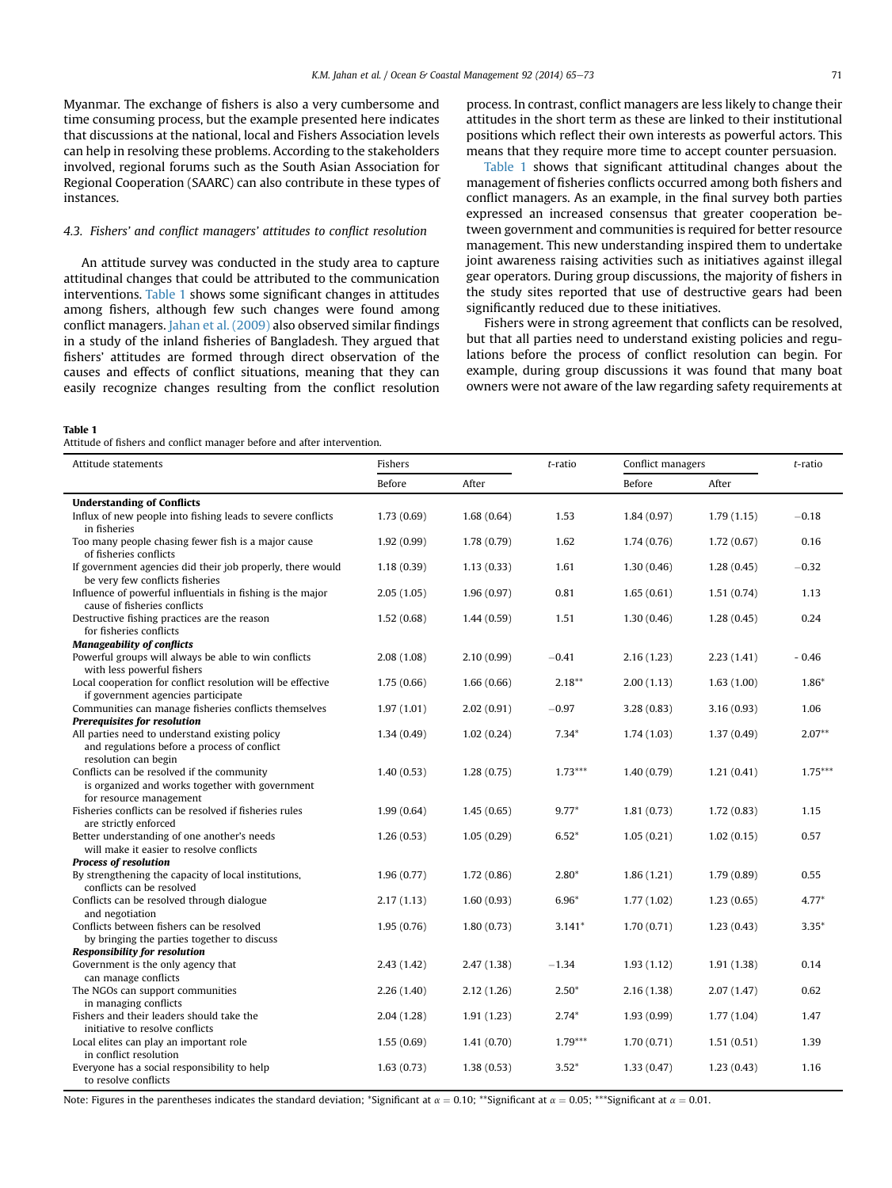Myanmar. The exchange of fishers is also a very cumbersome and time consuming process, but the example presented here indicates that discussions at the national, local and Fishers Association levels can help in resolving these problems. According to the stakeholders involved, regional forums such as the South Asian Association for Regional Cooperation (SAARC) can also contribute in these types of instances.

## 4.3. Fishers' and conflict managers' attitudes to conflict resolution

An attitude survey was conducted in the study area to capture attitudinal changes that could be attributed to the communication interventions. Table 1 shows some significant changes in attitudes among fishers, although few such changes were found among conflict managers. [Jahan et al. \(2009\)](#page-8-0) also observed similar findings in a study of the inland fisheries of Bangladesh. They argued that fishers' attitudes are formed through direct observation of the causes and effects of conflict situations, meaning that they can easily recognize changes resulting from the conflict resolution process. In contrast, conflict managers are less likely to change their attitudes in the short term as these are linked to their institutional positions which reflect their own interests as powerful actors. This means that they require more time to accept counter persuasion.

Table 1 shows that significant attitudinal changes about the management of fisheries conflicts occurred among both fishers and conflict managers. As an example, in the final survey both parties expressed an increased consensus that greater cooperation between government and communities is required for better resource management. This new understanding inspired them to undertake joint awareness raising activities such as initiatives against illegal gear operators. During group discussions, the majority of fishers in the study sites reported that use of destructive gears had been significantly reduced due to these initiatives.

Fishers were in strong agreement that conflicts can be resolved, but that all parties need to understand existing policies and regulations before the process of conflict resolution can begin. For example, during group discussions it was found that many boat owners were not aware of the law regarding safety requirements at

Table 1

Attitude of fishers and conflict manager before and after intervention.

| Attitude statements                                                                                                      | Fishers    |            | t-ratio   | Conflict managers |            | t-ratio   |
|--------------------------------------------------------------------------------------------------------------------------|------------|------------|-----------|-------------------|------------|-----------|
|                                                                                                                          | Before     | After      |           | Before            | After      |           |
| <b>Understanding of Conflicts</b>                                                                                        |            |            |           |                   |            |           |
| Influx of new people into fishing leads to severe conflicts<br>in fisheries                                              | 1.73(0.69) | 1.68(0.64) | 1.53      | 1.84(0.97)        | 1.79(1.15) | $-0.18$   |
| Too many people chasing fewer fish is a major cause<br>of fisheries conflicts                                            | 1.92(0.99) | 1.78(0.79) | 1.62      | 1.74(0.76)        | 1.72(0.67) | 0.16      |
| If government agencies did their job properly, there would<br>be very few conflicts fisheries                            | 1.18(0.39) | 1.13(0.33) | 1.61      | 1.30(0.46)        | 1.28(0.45) | $-0.32$   |
| Influence of powerful influentials in fishing is the major<br>cause of fisheries conflicts                               | 2.05(1.05) | 1.96(0.97) | 0.81      | 1.65(0.61)        | 1.51(0.74) | 1.13      |
| Destructive fishing practices are the reason<br>for fisheries conflicts                                                  | 1.52(0.68) | 1.44(0.59) | 1.51      | 1.30(0.46)        | 1.28(0.45) | 0.24      |
| <b>Manageability of conflicts</b>                                                                                        |            |            |           |                   |            |           |
| Powerful groups will always be able to win conflicts<br>with less powerful fishers                                       | 2.08(1.08) | 2.10(0.99) | $-0.41$   | 2.16(1.23)        | 2.23(1.41) | $-0.46$   |
| Local cooperation for conflict resolution will be effective<br>if government agencies participate                        | 1.75(0.66) | 1.66(0.66) | $2.18**$  | 2.00(1.13)        | 1.63(1.00) | 1.86*     |
| Communities can manage fisheries conflicts themselves                                                                    | 1.97(1.01) | 2.02(0.91) | $-0.97$   | 3.28(0.83)        | 3.16(0.93) | 1.06      |
| <b>Prerequisites for resolution</b>                                                                                      |            |            |           |                   |            |           |
| All parties need to understand existing policy<br>and regulations before a process of conflict<br>resolution can begin   | 1.34(0.49) | 1.02(0.24) | $7.34*$   | 1.74(1.03)        | 1.37(0.49) | $2.07**$  |
| Conflicts can be resolved if the community<br>is organized and works together with government<br>for resource management | 1.40(0.53) | 1.28(0.75) | $1.73***$ | 1.40(0.79)        | 1.21(0.41) | $1.75***$ |
| Fisheries conflicts can be resolved if fisheries rules<br>are strictly enforced                                          | 1.99(0.64) | 1.45(0.65) | $9.77*$   | 1.81(0.73)        | 1.72(0.83) | 1.15      |
| Better understanding of one another's needs<br>will make it easier to resolve conflicts                                  | 1.26(0.53) | 1.05(0.29) | $6.52*$   | 1.05(0.21)        | 1.02(0.15) | 0.57      |
| <b>Process of resolution</b>                                                                                             |            |            |           |                   |            |           |
| By strengthening the capacity of local institutions,<br>conflicts can be resolved                                        | 1.96(0.77) | 1.72(0.86) | $2.80*$   | 1.86(1.21)        | 1.79(0.89) | 0.55      |
| Conflicts can be resolved through dialogue<br>and negotiation                                                            | 2.17(1.13) | 1.60(0.93) | $6.96*$   | 1.77(1.02)        | 1.23(0.65) | $4.77*$   |
| Conflicts between fishers can be resolved<br>by bringing the parties together to discuss                                 | 1.95(0.76) | 1.80(0.73) | $3.141*$  | 1.70(0.71)        | 1.23(0.43) | $3.35*$   |
| <b>Responsibility for resolution</b>                                                                                     |            |            |           |                   |            |           |
| Government is the only agency that<br>can manage conflicts                                                               | 2.43(1.42) | 2.47(1.38) | $-1.34$   | 1.93(1.12)        | 1.91(1.38) | 0.14      |
| The NGOs can support communities<br>in managing conflicts                                                                | 2.26(1.40) | 2.12(1.26) | $2.50*$   | 2.16(1.38)        | 2.07(1.47) | 0.62      |
| Fishers and their leaders should take the<br>initiative to resolve conflicts                                             | 2.04(1.28) | 1.91(1.23) | $2.74*$   | 1.93(0.99)        | 1.77(1.04) | 1.47      |
| Local elites can play an important role<br>in conflict resolution                                                        | 1.55(0.69) | 1.41(0.70) | $1.79***$ | 1.70(0.71)        | 1.51(0.51) | 1.39      |
| Everyone has a social responsibility to help<br>to resolve conflicts                                                     | 1.63(0.73) | 1.38(0.53) | $3.52*$   | 1.33(0.47)        | 1.23(0.43) | 1.16      |

Note: Figures in the parentheses indicates the standard deviation; \*Significant at  $\alpha = 0.10$ ; \*\*Significant at  $\alpha = 0.05$ ; \*\*\*Significant at  $\alpha = 0.01$ .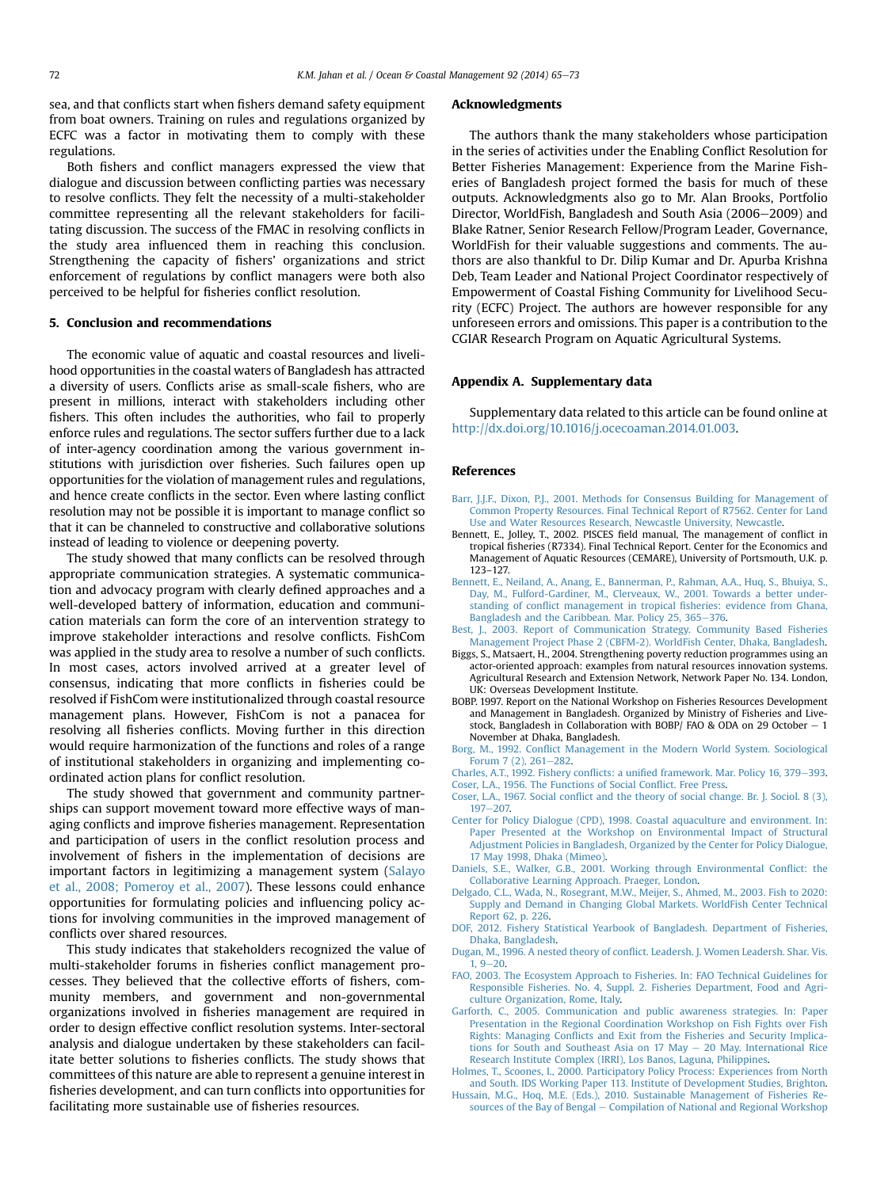<span id="page-7-0"></span>sea, and that conflicts start when fishers demand safety equipment from boat owners. Training on rules and regulations organized by ECFC was a factor in motivating them to comply with these regulations.

Both fishers and conflict managers expressed the view that dialogue and discussion between conflicting parties was necessary to resolve conflicts. They felt the necessity of a multi-stakeholder committee representing all the relevant stakeholders for facilitating discussion. The success of the FMAC in resolving conflicts in the study area influenced them in reaching this conclusion. Strengthening the capacity of fishers' organizations and strict enforcement of regulations by conflict managers were both also perceived to be helpful for fisheries conflict resolution.

#### 5. Conclusion and recommendations

The economic value of aquatic and coastal resources and livelihood opportunities in the coastal waters of Bangladesh has attracted a diversity of users. Conflicts arise as small-scale fishers, who are present in millions, interact with stakeholders including other fishers. This often includes the authorities, who fail to properly enforce rules and regulations. The sector suffers further due to a lack of inter-agency coordination among the various government institutions with jurisdiction over fisheries. Such failures open up opportunities for the violation of management rules and regulations, and hence create conflicts in the sector. Even where lasting conflict resolution may not be possible it is important to manage conflict so that it can be channeled to constructive and collaborative solutions instead of leading to violence or deepening poverty.

The study showed that many conflicts can be resolved through appropriate communication strategies. A systematic communication and advocacy program with clearly defined approaches and a well-developed battery of information, education and communication materials can form the core of an intervention strategy to improve stakeholder interactions and resolve conflicts. FishCom was applied in the study area to resolve a number of such conflicts. In most cases, actors involved arrived at a greater level of consensus, indicating that more conflicts in fisheries could be resolved if FishCom were institutionalized through coastal resource management plans. However, FishCom is not a panacea for resolving all fisheries conflicts. Moving further in this direction would require harmonization of the functions and roles of a range of institutional stakeholders in organizing and implementing coordinated action plans for conflict resolution.

The study showed that government and community partnerships can support movement toward more effective ways of managing conflicts and improve fisheries management. Representation and participation of users in the conflict resolution process and involvement of fishers in the implementation of decisions are important factors in legitimizing a management system ([Salayo](#page-8-0) [et al., 2008; Pomeroy et al., 2007\)](#page-8-0). These lessons could enhance opportunities for formulating policies and influencing policy actions for involving communities in the improved management of conflicts over shared resources.

This study indicates that stakeholders recognized the value of multi-stakeholder forums in fisheries conflict management processes. They believed that the collective efforts of fishers, community members, and government and non-governmental organizations involved in fisheries management are required in order to design effective conflict resolution systems. Inter-sectoral analysis and dialogue undertaken by these stakeholders can facilitate better solutions to fisheries conflicts. The study shows that committees of this nature are able to represent a genuine interest in fisheries development, and can turn conflicts into opportunities for facilitating more sustainable use of fisheries resources.

#### Acknowledgments

The authors thank the many stakeholders whose participation in the series of activities under the Enabling Conflict Resolution for Better Fisheries Management: Experience from the Marine Fisheries of Bangladesh project formed the basis for much of these outputs. Acknowledgments also go to Mr. Alan Brooks, Portfolio Director, WorldFish, Bangladesh and South Asia (2006–2009) and Blake Ratner, Senior Research Fellow/Program Leader, Governance, WorldFish for their valuable suggestions and comments. The authors are also thankful to Dr. Dilip Kumar and Dr. Apurba Krishna Deb, Team Leader and National Project Coordinator respectively of Empowerment of Coastal Fishing Community for Livelihood Security (ECFC) Project. The authors are however responsible for any unforeseen errors and omissions. This paper is a contribution to the CGIAR Research Program on Aquatic Agricultural Systems.

#### Appendix A. Supplementary data

Supplementary data related to this article can be found online at <http://dx.doi.org/10.1016/j.ocecoaman.2014.01.003>.

## References

- [Barr, J.J.F., Dixon, P.J., 2001. Methods for Consensus Building for Management of](http://refhub.elsevier.com/S0964-5691(14)00005-2/sref1) [Common Property Resources. Final Technical Report of R7562. Center for Land](http://refhub.elsevier.com/S0964-5691(14)00005-2/sref1) [Use and Water Resources Research, Newcastle University, Newcastle](http://refhub.elsevier.com/S0964-5691(14)00005-2/sref1).
- Bennett, E., Jolley, T., 2002. PISCES field manual, The management of conflict in tropical fisheries (R7334). Final Technical Report. Center for the Economics and Management of Aquatic Resources (CEMARE), University of Portsmouth, U.K. p. 123–127.
- [Bennett, E., Neiland, A., Anang, E., Bannerman, P., Rahman, A.A., Huq, S., Bhuiya, S.,](http://refhub.elsevier.com/S0964-5691(14)00005-2/sref3) [Day, M., Fulford-Gardiner, M., Clerveaux, W., 2001. Towards a better under](http://refhub.elsevier.com/S0964-5691(14)00005-2/sref3)standing of conflict management in tropical fi[sheries: evidence from Ghana,](http://refhub.elsevier.com/S0964-5691(14)00005-2/sref3) [Bangladesh and the Caribbean. Mar. Policy 25, 365](http://refhub.elsevier.com/S0964-5691(14)00005-2/sref3)-[376.](http://refhub.elsevier.com/S0964-5691(14)00005-2/sref3)
- [Best, J., 2003. Report of Communication Strategy. Community Based Fisheries](http://refhub.elsevier.com/S0964-5691(14)00005-2/sref4) [Management Project Phase 2 \(CBFM-2\). WorldFish Center, Dhaka, Bangladesh.](http://refhub.elsevier.com/S0964-5691(14)00005-2/sref4)
- Biggs, S., Matsaert, H., 2004. Strengthening poverty reduction programmes using an actor-oriented approach: examples from natural resources innovation systems. Agricultural Research and Extension Network, Network Paper No. 134. London, UK: Overseas Development Institute.
- BOBP. 1997. Report on the National Workshop on Fisheries Resources Development and Management in Bangladesh. Organized by Ministry of Fisheries and Livestock, Bangladesh in Collaboration with BOBP/ FAO & ODA on 29 October  $-1$ November at Dhaka, Bangladesh.
- Borg, M., 1992. Confl[ict Management in the Modern World System. Sociological](http://refhub.elsevier.com/S0964-5691(14)00005-2/sref0) [Forum 7 \(2\), 261](http://refhub.elsevier.com/S0964-5691(14)00005-2/sref0)-[282](http://refhub.elsevier.com/S0964-5691(14)00005-2/sref0).
- Charles, A.T., 1992. Fishery conflicts: a unifi[ed framework. Mar. Policy 16, 379](http://refhub.elsevier.com/S0964-5691(14)00005-2/sref5)–[393](http://refhub.elsevier.com/S0964-5691(14)00005-2/sref5). [Coser, L.A., 1956. The Functions of Social Con](http://refhub.elsevier.com/S0964-5691(14)00005-2/sref6)flict. Free Press.
- Coser, L.A., 1967. Social confl[ict and the theory of social change. Br. J. Sociol. 8 \(3\),](http://refhub.elsevier.com/S0964-5691(14)00005-2/sref7)  $197 - 207$  $197 - 207$ .
- [Center for Policy Dialogue \(CPD\), 1998. Coastal aquaculture and environment. In:](http://refhub.elsevier.com/S0964-5691(14)00005-2/sref8) [Paper Presented at the Workshop on Environmental Impact of Structural](http://refhub.elsevier.com/S0964-5691(14)00005-2/sref8) [Adjustment Policies in Bangladesh, Organized by the Center for Policy Dialogue,](http://refhub.elsevier.com/S0964-5691(14)00005-2/sref8) [17 May 1998, Dhaka \(Mimeo\)](http://refhub.elsevier.com/S0964-5691(14)00005-2/sref8).
- [Daniels, S.E., Walker, G.B., 2001. Working through Environmental Con](http://refhub.elsevier.com/S0964-5691(14)00005-2/sref9)flict: the [Collaborative Learning Approach. Praeger, London.](http://refhub.elsevier.com/S0964-5691(14)00005-2/sref9)
- [Delgado, C.L., Wada, N., Rosegrant, M.W., Meijer, S., Ahmed, M., 2003. Fish to 2020:](http://refhub.elsevier.com/S0964-5691(14)00005-2/sref10) [Supply and Demand in Changing Global Markets. WorldFish Center Technical](http://refhub.elsevier.com/S0964-5691(14)00005-2/sref10) [Report 62, p. 226.](http://refhub.elsevier.com/S0964-5691(14)00005-2/sref10)
- [DOF, 2012. Fishery Statistical Yearbook of Bangladesh. Department of Fisheries,](http://refhub.elsevier.com/S0964-5691(14)00005-2/sref11) [Dhaka, Bangladesh](http://refhub.elsevier.com/S0964-5691(14)00005-2/sref11).
- Dugan, M., 1996. A nested theory of confl[ict. Leadersh. J. Women Leadersh. Shar. Vis.](http://refhub.elsevier.com/S0964-5691(14)00005-2/sref12)  $1.9 - 20.$  $1.9 - 20.$  $1.9 - 20.$
- [FAO, 2003. The Ecosystem Approach to Fisheries. In: FAO Technical Guidelines for](http://refhub.elsevier.com/S0964-5691(14)00005-2/sref13) [Responsible Fisheries. No. 4, Suppl. 2. Fisheries Department, Food and Agri](http://refhub.elsevier.com/S0964-5691(14)00005-2/sref13)[culture Organization, Rome, Italy](http://refhub.elsevier.com/S0964-5691(14)00005-2/sref13).
- [Garforth, C., 2005. Communication and public awareness strategies. In: Paper](http://refhub.elsevier.com/S0964-5691(14)00005-2/sref14) [Presentation in the Regional Coordination Workshop on Fish Fights over Fish](http://refhub.elsevier.com/S0964-5691(14)00005-2/sref14) Rights: Managing Confl[icts and Exit from the Fisheries and Security Implica](http://refhub.elsevier.com/S0964-5691(14)00005-2/sref14)tions for South and Southeast Asia on  $17$  May  $-$  [20 May. International Rice](http://refhub.elsevier.com/S0964-5691(14)00005-2/sref14) [Research Institute Complex \(IRRI\), Los Banos, Laguna, Philippines.](http://refhub.elsevier.com/S0964-5691(14)00005-2/sref14)
- [Holmes, T., Scoones, I., 2000. Participatory Policy Process: Experiences from North](http://refhub.elsevier.com/S0964-5691(14)00005-2/sref15) [and South. IDS Working Paper 113. Institute of Development Studies, Brighton](http://refhub.elsevier.com/S0964-5691(14)00005-2/sref15).
- [Hussain, M.G., Hoq, M.E. \(Eds.\), 2010. Sustainable Management of Fisheries Re](http://refhub.elsevier.com/S0964-5691(14)00005-2/sref16)[sources of the Bay of Bengal](http://refhub.elsevier.com/S0964-5691(14)00005-2/sref16) - [Compilation of National and Regional Workshop](http://refhub.elsevier.com/S0964-5691(14)00005-2/sref16)